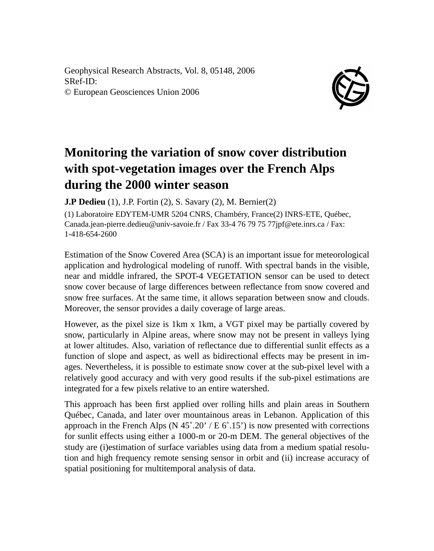Geophysical Research Abstracts, Vol. 8, 05148, 2006 SRef-ID: © European Geosciences Union 2006



## **Monitoring the variation of snow cover distribution with spot-vegetation images over the French Alps during the 2000 winter season**

**J.P Dedieu** (1), J.P. Fortin (2), S. Savary (2), M. Bernier(2)

(1) Laboratoire EDYTEM-UMR 5204 CNRS, Chambéry, France(2) INRS-ETE, Québec, Canada.jean-pierre.dedieu@univ-savoie.fr / Fax 33-4 76 79 75 77jpf@ete.inrs.ca / Fax: 1-418-654-2600

Estimation of the Snow Covered Area (SCA) is an important issue for meteorological application and hydrological modeling of runoff. With spectral bands in the visible, near and middle infrared, the SPOT-4 VEGETATION sensor can be used to detect snow cover because of large differences between reflectance from snow covered and snow free surfaces. At the same time, it allows separation between snow and clouds. Moreover, the sensor provides a daily coverage of large areas.

However, as the pixel size is 1km x 1km, a VGT pixel may be partially covered by snow, particularly in Alpine areas, where snow may not be present in valleys lying at lower altitudes. Also, variation of reflectance due to differential sunlit effects as a function of slope and aspect, as well as bidirectional effects may be present in images. Nevertheless, it is possible to estimate snow cover at the sub-pixel level with a relatively good accuracy and with very good results if the sub-pixel estimations are integrated for a few pixels relative to an entire watershed.

This approach has been first applied over rolling hills and plain areas in Southern Québec, Canada, and later over mountainous areas in Lebanon. Application of this approach in the French Alps (N  $45^{\circ}.20^{\circ}$  / E  $6^{\circ}.15^{\circ}$ ) is now presented with corrections for sunlit effects using either a 1000-m or 20-m DEM. The general objectives of the study are (i)estimation of surface variables using data from a medium spatial resolution and high frequency remote sensing sensor in orbit and (ii) increase accuracy of spatial positioning for multitemporal analysis of data.